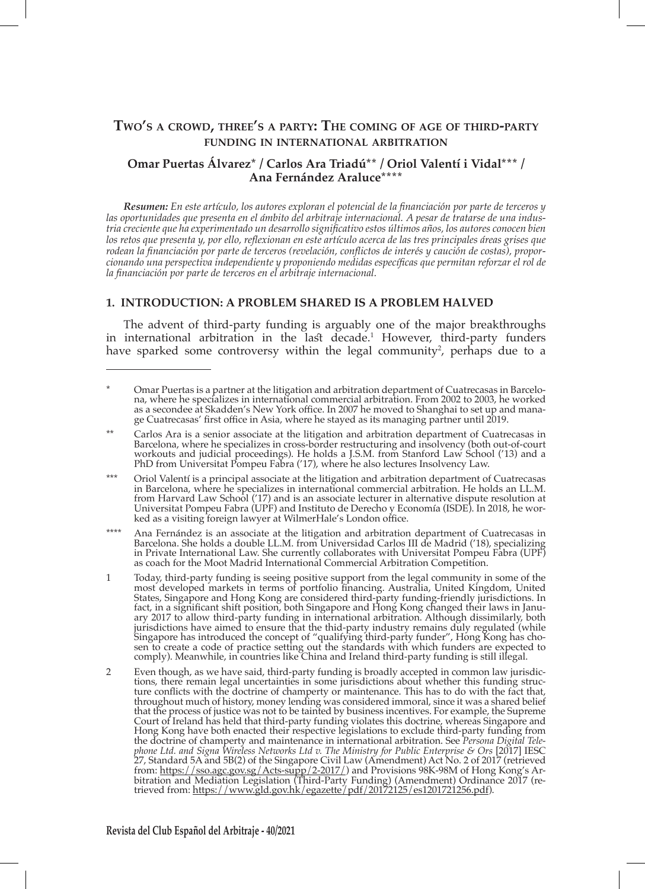# **Two's <sup>a</sup> crowd, three's <sup>a</sup> party: The coming of age of third-party funding in international arbitration**

# **Omar Puertas Álvarez\* / Carlos Ara Triadú\*\* / Oriol Valentí i Vidal\*\*\* / Ana Fernández Araluce\*\*\*\***

*Resumen: En este artículo, los autores exploran el potencial de la financiación por parte de terceros y las oportunidades que presenta en el ámbito del arbitraje internacional. A pesar de tratarse de una industria creciente que ha experimentado un desarrollo significativo estos últimos años, los autores conocen bien los retos que presenta y, por ello, reflexionan en este artículo acerca de las tres principales áreas grises que rodean la financiación por parte de terceros (revelación, conflictos de interés y caución de costas), proporcionando una perspectiva independiente y proponiendo medidas específicas que permitan reforzar el rol de la financiación por parte de terceros en el arbitraje internacional.*

### **1. INTRODUCTION: A PROBLEM SHARED IS A PROBLEM HALVED**

The advent of third-party funding is arguably one of the major breakthroughs in international arbitration in the last decade.<sup>1</sup> However, third-party funders have sparked some controversy within the legal community<sup>2</sup>, perhaps due to a

\*\*\*\* Ana Fernández is an associate at the litigation and arbitration department of Cuatrecasas in Barcelona. She holds a double LL.M. from Universidad Carlos III de Madrid ('18), specializing in Private International Law. She currently collaborates with Universitat Pompeu Fabra (UPF) as coach for the Moot Madrid International Commercial Arbitration Competition.

- 1 Today, third-party funding is seeing positive support from the legal community in some of the most developed markets in terms of portfolio financing. Australia, United Kingdom, United States, Singapore and Hong Kong are considered third-party funding-friendly jurisdictions. In fact, in a significant shift position, both Singapore and Hong Kong changed their laws in January 2017 to allow third-party funding in international arbitration. Although dissimilarly, both jurisdictions have aimed to ensure that the thid-party industry remains duly regulated (while Singapore has introduced the concept of "qualifying third-party funder", Hong Kong has chosen to create a code of practice setting out the standards with which funders are expected to comply). Meanwhile, in countries like China and Ireland third-party funding is still illegal.
- 2 Even though, as we have said, third-party funding is broadly accepted in common law jurisdictions, there remain legal uncertainties in some jurisdictions about whether this funding structure conflicts with the doctrine of champerty or maintenance. This has to do with the fact that, throughout much of history, money lending was considered immoral, since it was a shared belief that the process of justice was not to be tainted by business incentives. For example, the Supreme Court of Ireland has held that third-party funding violates this doctrine, whereas Singapore and Hong Kong have both enacted their respective legislations to exclude third-party funding from the doctrine of champerty and maintenance in international arbitration. See *Persona Digital Telephone Ltd. and Signa Wireless Networks Ltd v. The Ministry for Public Enterprise & Ors* [2017] IESC 27, Standard 5A and 5B(2) of the Singapore Civil Law (Amendment) Act No. 2 of 2017 (retrieved from: https://sso.agc.gov.sg/Acts-supp/2-2017/) and Provisions 98K-98M of Hong Kong's Arbitration and Mediation Legislation (Third-Party Funding) (Amendment) Ordinance 2017 (retrieved from: <u>https://www.gld.gov.hk/egazette/pdf/20172125/es1201721256.pdf</u>).

<sup>\*</sup> Omar Puertas is a partner at the litigation and arbitration department of Cuatrecasas in Barcelona, where he specializes in international commercial arbitration. From 2002 to 2003, he worked as a secondee at Skadden's New York office. In 2007 he moved to Shanghai to set up and manage Cuatrecasas' first office in Asia, where he stayed as its managing partner until 2019.

Carlos Ara is a senior associate at the litigation and arbitration department of Cuatrecasas in Barcelona, where he specializes in cross-border restructuring and insolvency (both out-of-court workouts and judicial proceedings). He holds a J.S.M. from Stanford Law School ('13) and a PhD from Universitat Pompeu Fabra ('17), where he also lectures Insolvency Law.

<sup>\*\*\*</sup> Oriol Valentí is a principal associate at the litigation and arbitration department of Cuatrecasas in Barcelona, where he specializes in international commercial arbitration. He holds an LL.M. from Harvard Law School ('17) and is an associate lecturer in alternative dispute resolution at Universitat Pompeu Fabra (UPF) and Instituto de Derecho y Economía (ISDE). In 2018, he worked as a visiting foreign lawyer at WilmerHale's London office.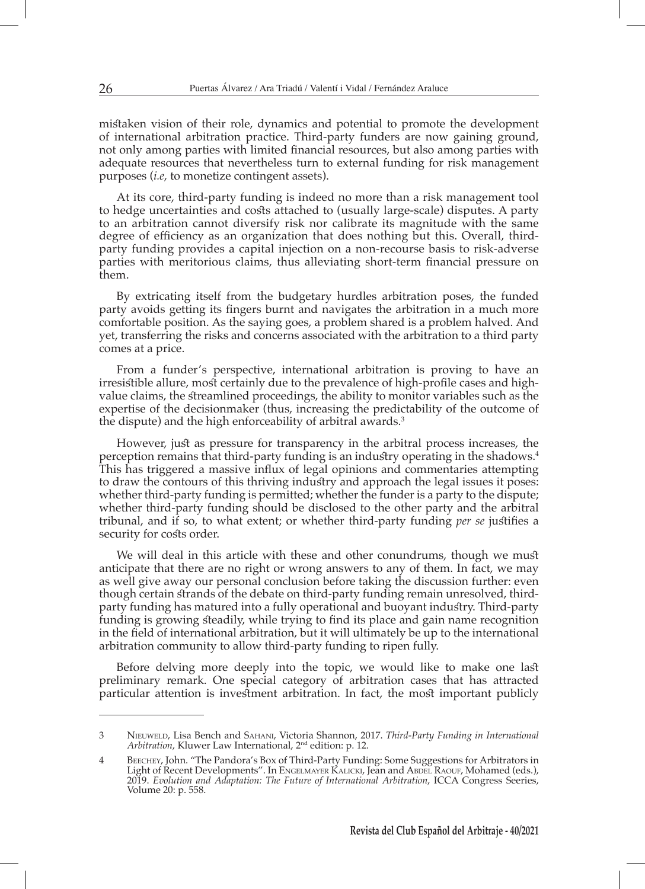mistaken vision of their role, dynamics and potential to promote the development of international arbitration practice. Third-party funders are now gaining ground, not only among parties with limited financial resources, but also among parties with adequate resources that nevertheless turn to external funding for risk management purposes (*i.e*, to monetize contingent assets).

At its core, third-party funding is indeed no more than a risk management tool to hedge uncertainties and costs attached to (usually large-scale) disputes. A party to an arbitration cannot diversify risk nor calibrate its magnitude with the same degree of efficiency as an organization that does nothing but this. Overall, thirdparty funding provides a capital injection on a non-recourse basis to risk-adverse parties with meritorious claims, thus alleviating short-term financial pressure on them.

By extricating itself from the budgetary hurdles arbitration poses, the funded party avoids getting its fingers burnt and navigates the arbitration in a much more comfortable position. As the saying goes, a problem shared is a problem halved. And yet, transferring the risks and concerns associated with the arbitration to a third party comes at a price.

From a funder's perspective, international arbitration is proving to have an irresistible allure, most certainly due to the prevalence of high-profile cases and highvalue claims, the streamlined proceedings, the ability to monitor variables such as the expertise of the decisionmaker (thus, increasing the predictability of the outcome of the dispute) and the high enforceability of arbitral awards.<sup>3</sup>

However, just as pressure for transparency in the arbitral process increases, the perception remains that third-party funding is an industry operating in the shadows.<sup>4</sup> This has triggered a massive influx of legal opinions and commentaries attempting to draw the contours of this thriving industry and approach the legal issues it poses: whether third-party funding is permitted; whether the funder is a party to the dispute; whether third-party funding should be disclosed to the other party and the arbitral tribunal, and if so, to what extent; or whether third-party funding *per se* justifies a security for costs order.

We will deal in this article with these and other conundrums, though we must anticipate that there are no right or wrong answers to any of them. In fact, we may as well give away our personal conclusion before taking the discussion further: even though certain strands of the debate on third-party funding remain unresolved, thirdparty funding has matured into a fully operational and buoyant industry. Third-party funding is growing steadily, while trying to find its place and gain name recognition in the field of international arbitration, but it will ultimately be up to the international arbitration community to allow third-party funding to ripen fully.

Before delving more deeply into the topic, we would like to make one last preliminary remark. One special category of arbitration cases that has attracted particular attention is investment arbitration. In fact, the most important publicly

<sup>3</sup> Nieuweld, Lisa Bench and Sahani, Victoria Shannon, 2017. *Third-Party Funding in International Arbitration*, Kluwer Law International, 2nd edition: p. 12.

<sup>4</sup> Beechey, John. "The Pandora's Box of Third-Party Funding: Some Suggestions for Arbitrators in Light of Recent Developments". In Engelmayer Kalicki, Jean and Abdel Raouf, Mohamed (eds.), 2019. *Evolution and Adaptation: The Future of International Arbitration*, ICCA Congress Seeries, Volume 20: p. 558.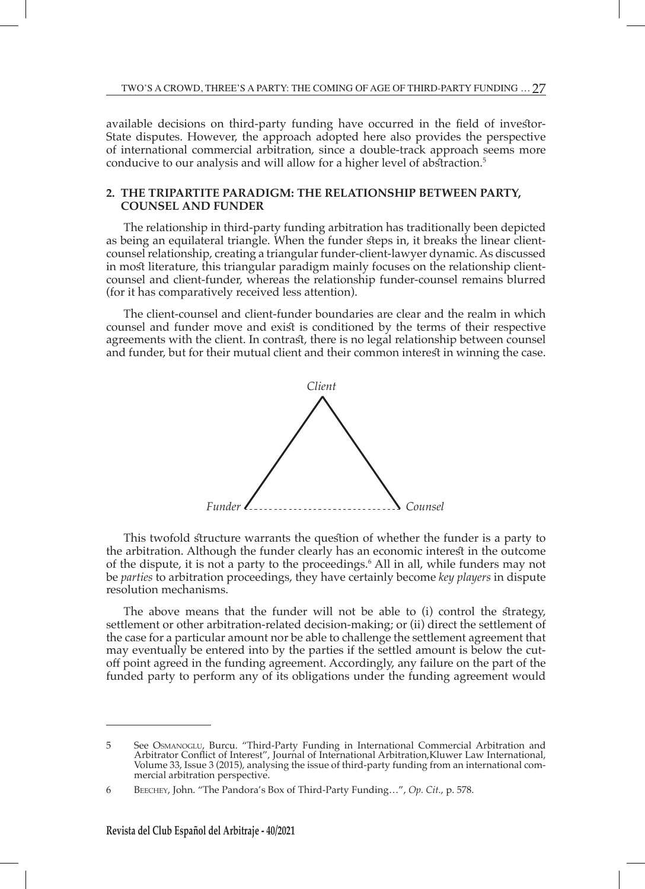available decisions on third-party funding have occurred in the field of investor-State disputes. However, the approach adopted here also provides the perspective of international commercial arbitration, since a double-track approach seems more conducive to our analysis and will allow for a higher level of abstraction.<sup>5</sup>

#### **2. THE TRIPARTITE PARADIGM: THE RELATIONSHIP BETWEEN PARTY, COUNSEL AND FUNDER**

The relationship in third-party funding arbitration has traditionally been depicted as being an equilateral triangle. When the funder steps in, it breaks the linear clientcounsel relationship, creating a triangular funder-client-lawyer dynamic. As discussed in most literature, this triangular paradigm mainly focuses on the relationship clientcounsel and client-funder, whereas the relationship funder-counsel remains blurred (for it has comparatively received less attention).

The client-counsel and client-funder boundaries are clear and the realm in which counsel and funder move and exist is conditioned by the terms of their respective agreements with the client. In contrast, there is no legal relationship between counsel and funder, but for their mutual client and their common interest in winning the case.



This twofold structure warrants the question of whether the funder is a party to the arbitration. Although the funder clearly has an economic interest in the outcome of the dispute, it is not a party to the proceedings.6 All in all, while funders may not be *parties* to arbitration proceedings, they have certainly become *key players* in dispute resolution mechanisms.

The above means that the funder will not be able to (i) control the strategy, settlement or other arbitration-related decision-making; or (ii) direct the settlement of the case for a particular amount nor be able to challenge the settlement agreement that may eventually be entered into by the parties if the settled amount is below the cutoff point agreed in the funding agreement. Accordingly, any failure on the part of the funded party to perform any of its obligations under the funding agreement would

<sup>5</sup> See Osmanoglu, Burcu. "Third-Party Funding in International Commercial Arbitration and Arbitrator Conflict of Interest", Journal of International Arbitration,Kluwer Law International, Volume 33, Issue 3 (2015), analysing the issue of third-party funding from an international commercial arbitration perspective.

<sup>6</sup> Beechey, John. "The Pandora's Box of Third-Party Funding…", *Op. Cit.*, p. 578.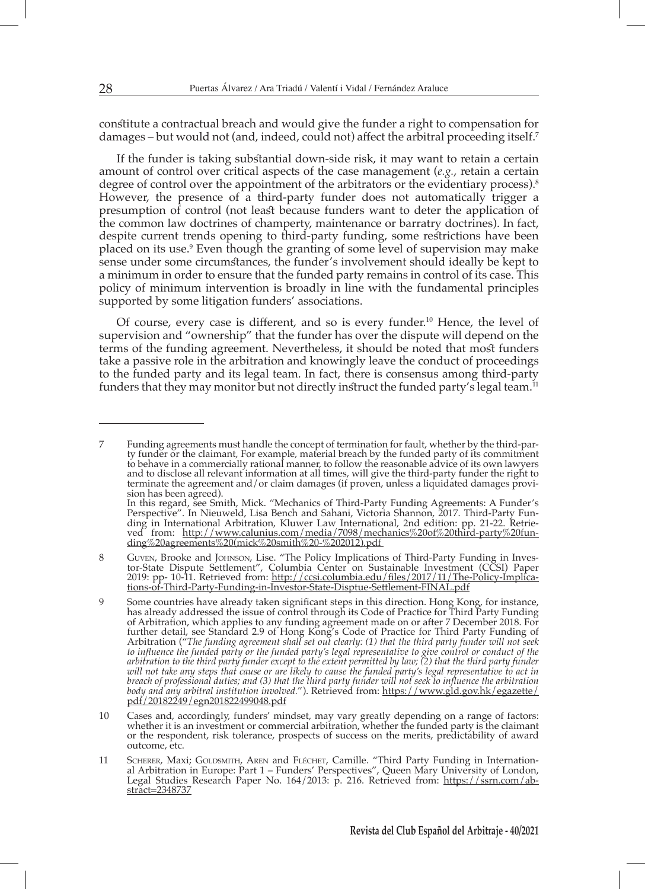constitute a contractual breach and would give the funder a right to compensation for damages – but would not (and, indeed, could not) affect the arbitral proceeding itself.<sup>7</sup>

If the funder is taking substantial down-side risk, it may want to retain a certain amount of control over critical aspects of the case management (*e.g.*, retain a certain degree of control over the appointment of the arbitrators or the evidentiary process).<sup>8</sup> However, the presence of a third-party funder does not automatically trigger a presumption of control (not least because funders want to deter the application of the common law doctrines of champerty, maintenance or barratry doctrines). In fact, despite current trends opening to third-party funding, some restrictions have been placed on its use.<sup>9</sup> Even though the granting of some level of supervision may make sense under some circumstances, the funder's involvement should ideally be kept to a minimum in order to ensure that the funded party remains in control of its case. This policy of minimum intervention is broadly in line with the fundamental principles supported by some litigation funders' associations.

Of course, every case is different, and so is every funder.10 Hence, the level of supervision and "ownership" that the funder has over the dispute will depend on the terms of the funding agreement. Nevertheless, it should be noted that most funders take a passive role in the arbitration and knowingly leave the conduct of proceedings to the funded party and its legal team. In fact, there is consensus among third-party funders that they may monitor but not directly instruct the funded party's legal team.<sup>11</sup>

<sup>7</sup> Funding agreements must handle the concept of termination for fault, whether by the third-party funder or the claimant, For example, material breach by the funded party of its commitment to behave in a commercially rational manner, to follow the reasonable advice of its own lawyers and to disclose all relevant information at all times, will give the third-party funder the right to terminate the agreement and/or claim damages (if proven, unless a liquidated damages provision has been agreed). In this regard, see Smith, Mick. "Mechanics of Third-Party Funding Agreements: A Funder's Perspective". In Nieuweld, Lisa Bench and Sahani, Victoria Shannon, 2017. Third-Party Fun-

ding in International Arbitration, Kluwer Law International, 2nd edition: pp. 21-22. Retrieved from: http://www.calunius.com/media/7098/mechanics%20of%20third-party%20funding%20agreements%20(mick%20smith%20-%202012).pdf 8 Guven, Brooke and Johnson, Lise. "The Policy Implications of Third-Party Funding in Inves-

tor-State Dispute Settlement", Columbia Center on Sustainable Investment (CCSI) Paper 2019: pp- 10-11. Retrieved from: http://ccsi.columbia.edu/files/2017/11/The-Policy-Implications-of-Third-Party-Funding-in-Investor-State-Disptue-Settlement-FINAL.pdf

<sup>9</sup> Some countries have already taken significant steps in this direction. Hong Kong, for instance, has already addressed the issue of control through its Code of Practice for Third Party Funding of Arbitration, which applies to any funding agreement made on or after 7 December 2018. For further detail, see Standard 2.9 of Hong Kong's Code of Practice for Third Party Funding of Arbitration ("*The funding agreement shall set out clearly: (1) that the third party funder will not seek to influence the funded party or the funded party's legal representative to give control or conduct of the arbitration to the third party funder except to the extent permitted by law; (2) that the third party funder will not take any steps that cause or are likely to cause the funded party's legal representative to act in breach of professional duties; and (3) that the third party funder will not seek to influence the arbitration body and any arbitral institution involved.*"). Retrieved from: https://www.gld.gov.hk/egazette/ pdf/20182249/egn201822499048.pdf

<sup>10</sup> Cases and, accordingly, funders' mindset, may vary greatly depending on a range of factors: whether it is an investment or commercial arbitration, whether the funded party is the claimant or the respondent, risk tolerance, prospects of success on the merits, predictability of award outcome, etc.

<sup>11</sup> Scherer, Maxi; Goldsmith, Aren and Fléchet, Camille. "Third Party Funding in International Arbitration in Europe: Part 1 – Funders' Perspectives", Queen Mary University of London, Legal Studies Research Paper No. 164/2013: p. 216. Retrieved from: https://ssrn.com/abstract=2348737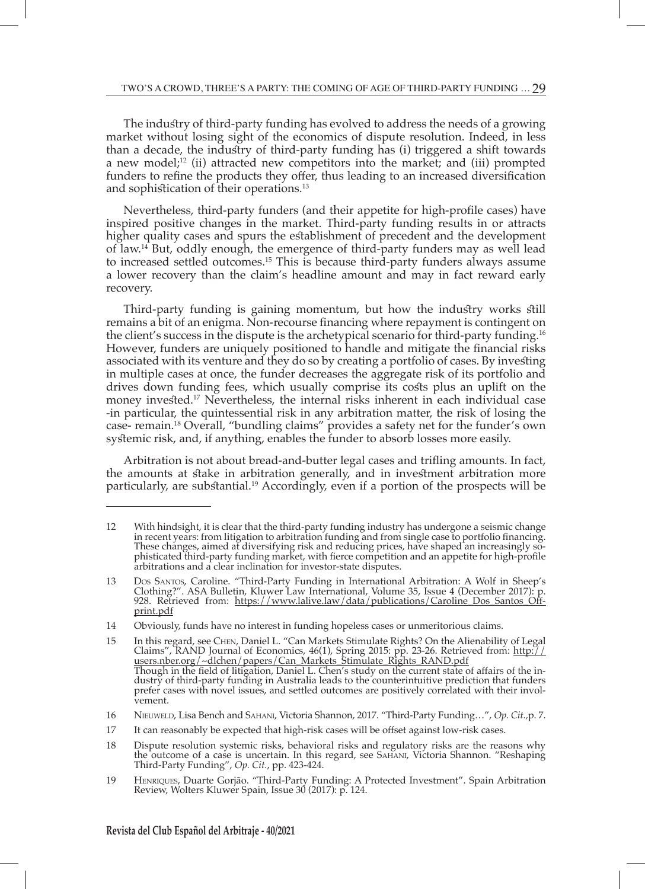The industry of third-party funding has evolved to address the needs of a growing market without losing sight of the economics of dispute resolution. Indeed, in less than a decade, the industry of third-party funding has (i) triggered a shift towards a new model; $^{12}$  (ii) attracted new competitors into the market; and (iii) prompted funders to refine the products they offer, thus leading to an increased diversification and sophistication of their operations.13

Nevertheless, third-party funders (and their appetite for high-profile cases) have inspired positive changes in the market. Third-party funding results in or attracts higher quality cases and spurs the establishment of precedent and the development of law.<sup>14</sup> But, oddly enough, the emergence of third-party funders may as well lead to increased settled outcomes.15 This is because third-party funders always assume a lower recovery than the claim's headline amount and may in fact reward early recovery.

Third-party funding is gaining momentum, but how the industry works still remains a bit of an enigma. Non-recourse financing where repayment is contingent on the client's success in the dispute is the archetypical scenario for third-party funding.16 However, funders are uniquely positioned to handle and mitigate the financial risks associated with its venture and they do so by creating a portfolio of cases. By investing in multiple cases at once, the funder decreases the aggregate risk of its portfolio and drives down funding fees, which usually comprise its costs plus an uplift on the money invested.17 Nevertheless, the internal risks inherent in each individual case -in particular, the quintessential risk in any arbitration matter, the risk of losing the case- remain.18 Overall, "bundling claims" provides a safety net for the funder's own systemic risk, and, if anything, enables the funder to absorb losses more easily.

Arbitration is not about bread-and-butter legal cases and trifling amounts. In fact, the amounts at stake in arbitration generally, and in investment arbitration more particularly, are substantial.19 Accordingly, even if a portion of the prospects will be

<sup>12</sup> With hindsight, it is clear that the third-party funding industry has undergone a seismic change in recent years: from litigation to arbitration funding and from single case to portfolio financing. These changes, aimed at diversifying risk and reducing prices, have shaped an increasingly sophisticated third-party funding market, with fierce competition and an appetite for high-profile arbitrations and a clear inclination for investor-state disputes.

<sup>13</sup> Dos Santos, Caroline. "Third-Party Funding in International Arbitration: A Wolf in Sheep's Clothing?". ASA Bulletin, Kluwer Law International, Volume 35, Issue 4 (December 2017): p. 928. Retrieved from: https://www.lalive.law/data/publications/Caroline Dos Santos Offprint.pdf

<sup>14</sup> Obviously, funds have no interest in funding hopeless cases or unmeritorious claims.

<sup>15</sup> In this regard, see Chen, Daniel L. "Can Markets Stimulate Rights? On the Alienability of Legal Claims", RAND Journal of Economics, 46(1), Spring 2015: pp. 23-26. Retrieved from: http:// users.nber.org/~dlchen/papers/Can\_Markets\_Stimulate\_Rights\_RAND.pdf Though in the field of litigation, Daniel L. Chen's study on the current state of affairs of the industry of third-party funding in Australia leads to the counterintuitive prediction that funders prefer cases with novel issues, and settled outcomes are positively correlated with their involvement.

<sup>16</sup> Nieuweld, Lisa Bench and Sahani, Victoria Shannon, 2017. "Third-Party Funding…", *Op. Cit.,*p. 7.

<sup>17</sup> It can reasonably be expected that high-risk cases will be offset against low-risk cases.

<sup>18</sup> Dispute resolution systemic risks, behavioral risks and regulatory risks are the reasons why the outcome of a case is uncertain. In this regard, see Sahani, Victoria Shannon. "Reshaping Third-Party Funding", *Op. Cit.*, pp. 423-424.

<sup>19</sup> Henriques, Duarte Gorjão. "Third-Party Funding: A Protected Investment". Spain Arbitration Review, Wolters Kluwer Spain, Issue 30 (2017): p. 124.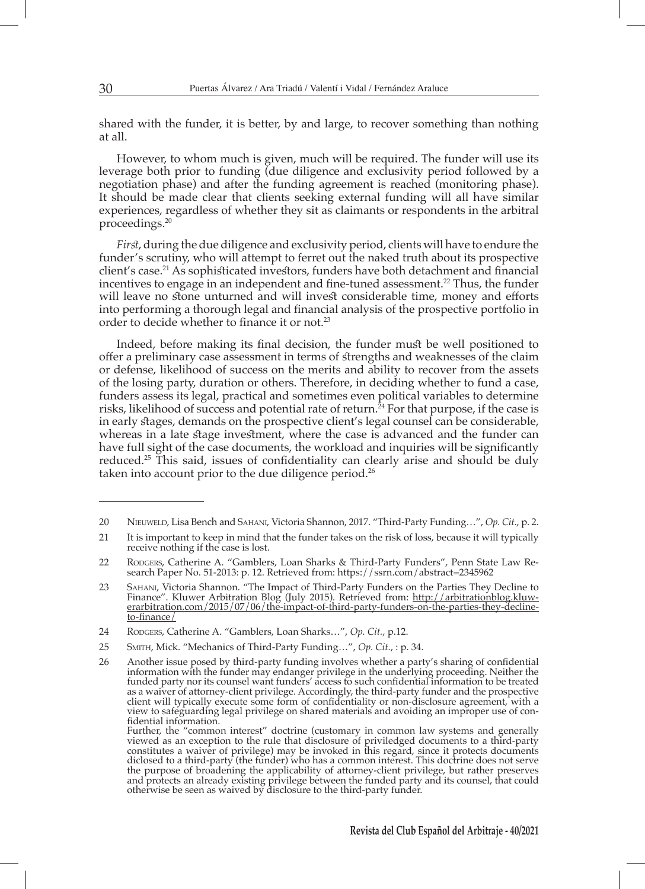shared with the funder, it is better, by and large, to recover something than nothing at all.

However, to whom much is given, much will be required. The funder will use its leverage both prior to funding (due diligence and exclusivity period followed by a negotiation phase) and after the funding agreement is reached (monitoring phase). It should be made clear that clients seeking external funding will all have similar experiences, regardless of whether they sit as claimants or respondents in the arbitral proceedings.20

*First*, during the due diligence and exclusivity period, clients will have to endure the funder's scrutiny, who will attempt to ferret out the naked truth about its prospective client's case.<sup>21</sup> As sophisticated investors, funders have both detachment and financial incentives to engage in an independent and fine-tuned assessment.<sup>22</sup> Thus, the funder will leave no stone unturned and will invest considerable time, money and efforts into performing a thorough legal and financial analysis of the prospective portfolio in order to decide whether to finance it or not.23

Indeed, before making its final decision, the funder must be well positioned to offer a preliminary case assessment in terms of strengths and weaknesses of the claim or defense, likelihood of success on the merits and ability to recover from the assets of the losing party, duration or others. Therefore, in deciding whether to fund a case, funders assess its legal, practical and sometimes even political variables to determine risks, likelihood of success and potential rate of return.<sup>24</sup> For that purpose, if the case is in early stages, demands on the prospective client's legal counsel can be considerable, whereas in a late stage investment, where the case is advanced and the funder can have full sight of the case documents, the workload and inquiries will be significantly reduced.25 This said, issues of confidentiality can clearly arise and should be duly taken into account prior to the due diligence period.<sup>26</sup>

<sup>20</sup> Nieuweld, Lisa Bench and Sahani, Victoria Shannon, 2017. "Third-Party Funding…", *Op. Cit.*, p. 2.

<sup>21</sup> It is important to keep in mind that the funder takes on the risk of loss, because it will typically receive nothing if the case is lost.

<sup>22</sup> Rodgers, Catherine A. "Gamblers, Loan Sharks & Third-Party Funders", Penn State Law Research Paper No. 51-2013: p. 12. Retrieved from: https://ssrn.com/abstract=2345962

<sup>23</sup> Sahani, Victoria Shannon. "The Impact of Third-Party Funders on the Parties They Decline to Finance". Kluwer Arbitration Blog (July 2015). Retrieved from: http://arbitrationblog.kluwerarbitration.com/2015/07/06/the-impact-of-third-party-funders-on-the-parties-they-declineto-finance/

<sup>24</sup> Rodgers, Catherine A. "Gamblers, Loan Sharks…", *Op. Cit.*, p.12.

<sup>25</sup> Smith, Mick. "Mechanics of Third-Party Funding…", *Op. Cit.*, : p. 34.

<sup>26</sup> Another issue posed by third-party funding involves whether a party's sharing of confidential information with the funder may endanger privilege in the underlying proceeding. Neither the funded party nor its counsel want funders' access to such confidential information to be treated as a waiver of attorney-client privilege. Accordingly, the third-party funder and the prospective client will typically execute some form of confidentiality or non-disclosure agreement, with a view to safeguarding legal privilege on shared materials and avoiding an improper use of confidential information.

Further, the "common interest" doctrine (customary in common law systems and generally viewed as an exception to the rule that disclosure of priviledged documents to a third-party constitutes a waiver of privilege) may be invoked in this regard, since it protects documents diclosed to a third-party (the funder) who has a common interest. This doctrine does not serve the purpose of broadening the applicability of attorney-client privilege, but rather preserves and protects an already existing privilege between the funded party and its counsel, that could otherwise be seen as waived by disclosure to the third-party funder.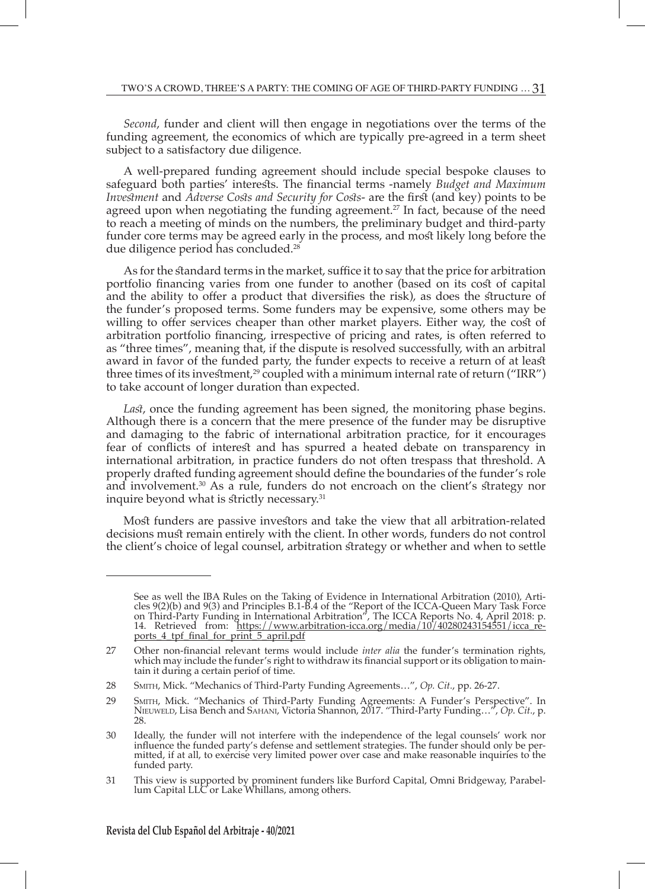*Second*, funder and client will then engage in negotiations over the terms of the funding agreement, the economics of which are typically pre-agreed in a term sheet subject to a satisfactory due diligence.

A well-prepared funding agreement should include special bespoke clauses to safeguard both parties' interests. The financial terms -namely *Budget and Maximum Investment* and *Adverse Costs and Security for Costs*- are the first (and key) points to be agreed upon when negotiating the funding agreement.<sup>27</sup> In fact, because of the need to reach a meeting of minds on the numbers, the preliminary budget and third-party funder core terms may be agreed early in the process, and most likely long before the due diligence period has concluded.28

As for the standard terms in the market, suffice it to say that the price for arbitration portfolio financing varies from one funder to another (based on its cost of capital and the ability to offer a product that diversifies the risk), as does the structure of the funder's proposed terms. Some funders may be expensive, some others may be willing to offer services cheaper than other market players. Either way, the cost of arbitration portfolio financing, irrespective of pricing and rates, is often referred to as "three times", meaning that, if the dispute is resolved successfully, with an arbitral award in favor of the funded party, the funder expects to receive a return of at least three times of its investment,<sup>29</sup> coupled with a minimum internal rate of return ("IRR") to take account of longer duration than expected.

*Last*, once the funding agreement has been signed, the monitoring phase begins. Although there is a concern that the mere presence of the funder may be disruptive and damaging to the fabric of international arbitration practice, for it encourages fear of conflicts of interest and has spurred a heated debate on transparency in international arbitration, in practice funders do not often trespass that threshold. A properly drafted funding agreement should define the boundaries of the funder's role and involvement.30 As a rule, funders do not encroach on the client's strategy nor inquire beyond what is strictly necessary.<sup>31</sup>

Most funders are passive investors and take the view that all arbitration-related decisions must remain entirely with the client. In other words, funders do not control the client's choice of legal counsel, arbitration strategy or whether and when to settle

See as well the IBA Rules on the Taking of Evidence in International Arbitration (2010), Articles 9(2)(b) and 9(3) and Principles B.1-B.4 of the "Report of the ICCA-Queen Mary Task Force on Third-Party Funding in International Arbitration", The ICCA Reports No. 4, April 2018: p. 14. Retrieved from: https://www.arbitration-icca.org/media/10/40280243154551/icca\_reports 4 tpf\_final\_for\_print\_5\_april.pdf

<sup>27</sup> Other non-financial relevant terms would include *inter alia* the funder's termination rights, which may include the funder's right to withdraw its financial support or its obligation to maintain it during a certain periof of time.

<sup>28</sup> Smith, Mick. "Mechanics of Third-Party Funding Agreements…", *Op. Cit.*, pp. 26-27.

<sup>29</sup> Smith, Mick. "Mechanics of Third-Party Funding Agreements: A Funder's Perspective". In Nieuweld, Lisa Bench and Sahani, Victoria Shannon, 2017. "Third-Party Funding…", *Op. Cit.*, p. 28.

<sup>30</sup> Ideally, the funder will not interfere with the independence of the legal counsels' work nor influence the funded party's defense and settlement strategies. The funder should only be permitted, if at all, to exercise very limited power over case and make reasonable inquiries to the funded party.

<sup>31</sup> This view is supported by prominent funders like Burford Capital, Omni Bridgeway, Parabellum Capital LLC or Lake Whillans, among others.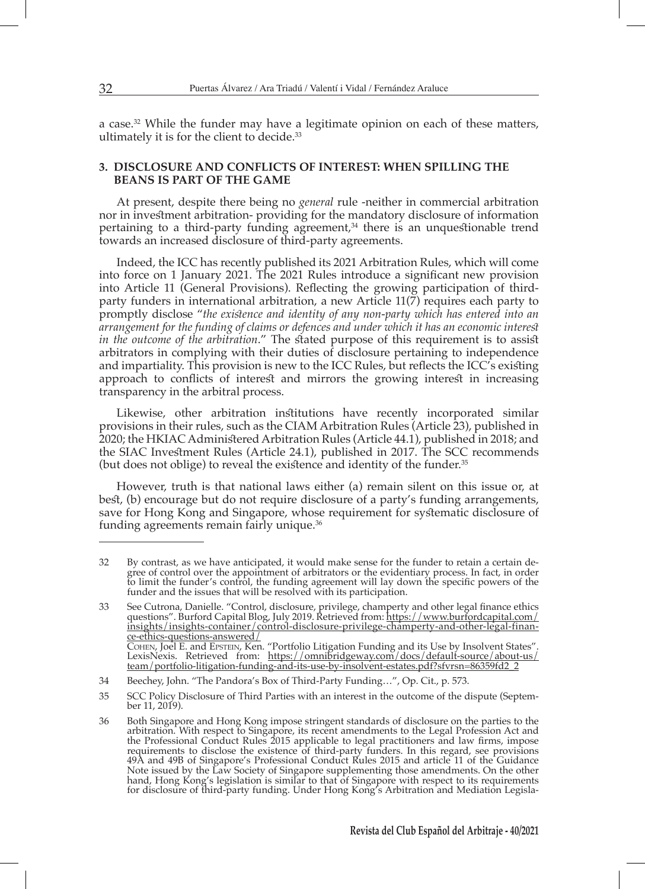a case.32 While the funder may have a legitimate opinion on each of these matters, ultimately it is for the client to decide.33

## **3. DISCLOSURE AND CONFLICTS OF INTEREST: WHEN SPILLING THE BEANS IS PART OF THE GAME**

At present, despite there being no *general* rule -neither in commercial arbitration nor in investment arbitration- providing for the mandatory disclosure of information pertaining to a third-party funding agreement, $34$  there is an unquestionable trend towards an increased disclosure of third-party agreements.

Indeed, the ICC has recently published its 2021 Arbitration Rules, which will come into force on 1 January 2021. The 2021 Rules introduce a significant new provision into Article 11 (General Provisions). Reflecting the growing participation of thirdparty funders in international arbitration, a new Article  $11(7)$  requires each party to promptly disclose "*the existence and identity of any non-party which has entered into an arrangement for the funding of claims or defences and under which it has an economic interest in the outcome of the arbitration.*" The stated purpose of this requirement is to assist arbitrators in complying with their duties of disclosure pertaining to independence and impartiality. This provision is new to the ICC Rules, but reflects the ICC $\hat{\ }$ s existing approach to conflicts of interest and mirrors the growing interest in increasing transparency in the arbitral process.

Likewise, other arbitration institutions have recently incorporated similar provisions in their rules, such as the CIAM Arbitration Rules (Article 23), published in 2020; the HKIAC Administered Arbitration Rules (Article 44.1), published in 2018; and the SIAC Investment Rules (Article 24.1), published in 2017. The SCC recommends (but does not oblige) to reveal the existence and identity of the funder.<sup>35</sup>

However, truth is that national laws either (a) remain silent on this issue or, at best, (b) encourage but do not require disclosure of a party's funding arrangements, save for Hong Kong and Singapore, whose requirement for systematic disclosure of funding agreements remain fairly unique.36

<sup>32</sup> By contrast, as we have anticipated, it would make sense for the funder to retain a certain degree of control over the appointment of arbitrators or the evidentiary process. In fact, in order to limit the funder's control, the funding agreement will lay down the specific powers of the funder and the issues that will be resolved with its participation.

<sup>33</sup> See Cutrona, Danielle. "Control, disclosure, privilege, champerty and other legal finance ethics questions". Burford Capital Blog, July 2019. Retrieved from: https://www.burfordcapital.com/ insights/insights-container/control-disclosure-privilege-champerty-and-other-legal-finance-ethics-questions-answered/ Cohen, Joel E. and Epstein, Ken. "Portfolio Litigation Funding and its Use by Insolvent States". LexisNexis. Retrieved from: https://omnibridgeway.com/docs/default-source/about-us/ team/portfolio-litigation-funding-and-its-use-by-insolvent-estates.pdf?sfvrsn=86359fd2\_2

<sup>34</sup> Beechey, John. "The Pandora's Box of Third-Party Funding…", Op. Cit., p. 573.

<sup>35</sup> SCC Policy Disclosure of Third Parties with an interest in the outcome of the dispute (September 11, 2019).

<sup>36</sup> Both Singapore and Hong Kong impose stringent standards of disclosure on the parties to the arbitration. With respect to Singapore, its recent amendments to the Legal Profession Act and the Professional Conduct Rules 2015 applicable to legal practitioners and law firms, impose requirements to disclose the existence of third-party funders. In this regard, see provisions 49A and 49B of Singapore's Professional Conduct Rules 2015 and article 11 of the Guidance Note issued by the Law Society of Singapore supplementing those amendments. On the other hand, Hong Kong's legislation is similar to that of Singapore with respect to its requirements for disclosure of third-party funding. Under Hong Kong's Arbitration and Mediation Legisla-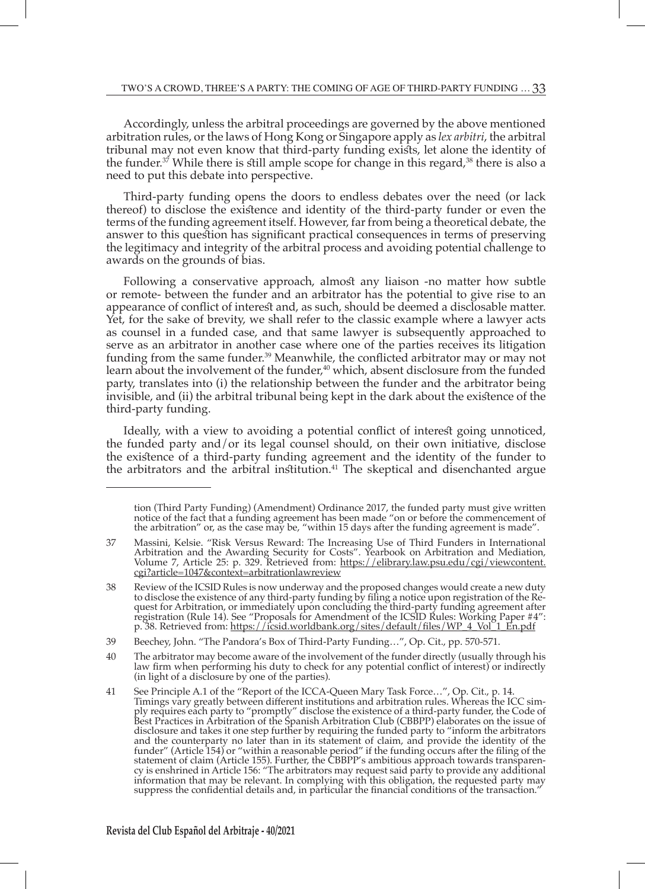Accordingly, unless the arbitral proceedings are governed by the above mentioned arbitration rules, or the laws of Hong Kong or Singapore apply as *lex arbitri*, the arbitral tribunal may not even know that third-party funding exists, let alone the identity of the funder.<sup>37</sup> While there is still ample scope for change in this regard,<sup>38</sup> there is also a need to put this debate into perspective.

Third-party funding opens the doors to endless debates over the need (or lack thereof) to disclose the existence and identity of the third-party funder or even the terms of the funding agreement itself. However, far from being a theoretical debate, the answer to this question has significant practical consequences in terms of preserving the legitimacy and integrity of the arbitral process and avoiding potential challenge to awards on the grounds of bias.

Following a conservative approach, almost any liaison -no matter how subtle or remote- between the funder and an arbitrator has the potential to give rise to an appearance of conflict of interest and, as such, should be deemed a disclosable matter. Yet, for the sake of brevity, we shall refer to the classic example where a lawyer acts as counsel in a funded case, and that same lawyer is subsequently approached to serve as an arbitrator in another case where one of the parties receives its litigation funding from the same funder.<sup>39</sup> Meanwhile, the conflicted arbitrator may or may not learn about the involvement of the funder,<sup>40</sup> which, absent disclosure from the funded party, translates into (i) the relationship between the funder and the arbitrator being invisible, and (ii) the arbitral tribunal being kept in the dark about the existence of the third-party funding.

Ideally, with a view to avoiding a potential conflict of interest going unnoticed, the funded party and/or its legal counsel should, on their own initiative, disclose the existence of a third-party funding agreement and the identity of the funder to the arbitrators and the arbitral institution.<sup>41</sup> The skeptical and disenchanted argue

tion (Third Party Funding) (Amendment) Ordinance 2017, the funded party must give written notice of the fact that a funding agreement has been made "on or before the commencement of the arbitration" or, as the case may be, "within 15 days after the funding agreement is made".

<sup>37</sup> Massini, Kelsie. "Risk Versus Reward: The Increasing Use of Third Funders in International Arbitration and the Awarding Security for Costs". Yearbook on Arbitration and Mediation, Volume 7, Article 25: p. 329. Retrieved from: <u>https://elibrary.law.psu.edu/cgi/viewcontent.</u> cgi?article=1047&context=arbitrationlawreview

<sup>38</sup> Review of the ICSID Rules is now underway and the proposed changes would create a new duty to disclose the existence of any third-party funding by filing a notice upon registration of the Request for Arbitration, or immediately upon concluding the third-party funding agreement after registration (Rule 14). See "Proposals for Amendment of the ICSID Rules: Working Paper #4": p. 38. Retrieved from: <u>https://icsid.worldbank.org/sites/default/files/WP\_4\_Vol\_1\_En.pdf</u>

<sup>39</sup> Beechey, John. "The Pandora's Box of Third-Party Funding…", Op. Cit., pp. 570-571.

<sup>40</sup> The arbitrator may become aware of the involvement of the funder directly (usually through his law firm when performing his duty to check for any potential conflict of interest) or indirectly (in light of a disclosure by one of the parties).

<sup>41</sup> See Principle A.1 of the "Report of the ICCA-Queen Mary Task Force…", Op. Cit., p. 14. Timings vary greatly between different institutions and arbitration rules. Whereas the ICC simply requires each party to "promptly" disclose the existence of a third-party funder, the Code of Best Practices in Arbitration of the Spanish Arbitration Club (CBBPP) elaborates on the issue of disclosure and takes it one step further by requiring the funded party to "inform the arbitrators and the counterparty no later than in its statement of claim, and provide the identity of the funder" (Article 154) or "within a reasonable period" if the funding occurs after the filing of the statement of claim (Article 155). Further, the CBBPP's ambitious approach towards transparency is enshrined in Article 156: "The arbitrators may request said party to provide any additional information that may be relevant. In complying with this obligation, the requested party may suppress the confidential details and, in particular the financial conditions of the transaction.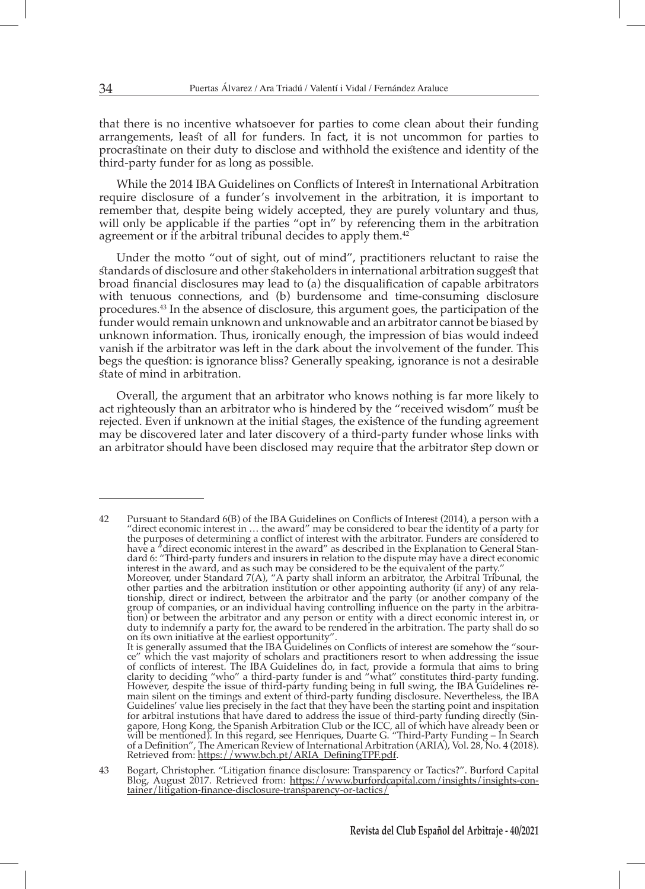that there is no incentive whatsoever for parties to come clean about their funding arrangements, least of all for funders. In fact, it is not uncommon for parties to procrastinate on their duty to disclose and withhold the existence and identity of the third-party funder for as long as possible.

While the 2014 IBA Guidelines on Conflicts of Interest in International Arbitration require disclosure of a funder's involvement in the arbitration, it is important to remember that, despite being widely accepted, they are purely voluntary and thus, will only be applicable if the parties "opt in" by referencing them in the arbitration agreement or if the arbitral tribunal decides to apply them.<sup>42</sup>

Under the motto "out of sight, out of mind", practitioners reluctant to raise the standards of disclosure and other stakeholders in international arbitration suggest that broad financial disclosures may lead to (a) the disqualification of capable arbitrators with tenuous connections, and (b) burdensome and time-consuming disclosure procedures.43 In the absence of disclosure, this argument goes, the participation of the funder would remain unknown and unknowable and an arbitrator cannot be biased by unknown information. Thus, ironically enough, the impression of bias would indeed vanish if the arbitrator was left in the dark about the involvement of the funder. This begs the question: is ignorance bliss? Generally speaking, ignorance is not a desirable state of mind in arbitration.

Overall, the argument that an arbitrator who knows nothing is far more likely to act righteously than an arbitrator who is hindered by the "received wisdom" must be rejected. Even if unknown at the initial stages, the existence of the funding agreement may be discovered later and later discovery of a third-party funder whose links with an arbitrator should have been disclosed may require that the arbitrator step down or

42 Pursuant to Standard 6(B) of the IBA Guidelines on Conflicts of Interest (2014), a person with a "direct economic interest in  $\dots$  the award" may be considered to bear the identity of a party for the purposes of determining a conflict of interest with the arbitrator. Funders are considered to have a "direct economic interest in the award" as described in the Explanation to General Standard 6: "Third-party funders and insurers in relation to the dispute may have a direct economic interest in the award, and as such may be considered to be the equivalent of the party." Moreover, under Standard 7(A), "A party shall inform an arbitrator, the Arbitral Tribunal, the other parties and the arbitration institution or other appointing authority (if any) of any relationship, direct or indirect, between the arbitrator and the party (or another company of the group of companies, or an individual having controlling influence on the party in the arbitration) or between the arbitrator and any person or entity with a direct economic interest in, or duty to indemnify a party for, the award to be rendered in the arbitration. The party shall do so on its own initiative at the earliest opportunity". It is generally assumed that the IBA Guidelines on Conflicts of interest are somehow the "source" which the vast majority of scholars and practitioners resort to when addressing the issue of conflicts of interest. The IBA Guidelines do, in fact, provide a formula that aims to bring clarity to deciding "who" a third-party funder is and "what" constitutes third-party funding. However, despite the issue of third-party funding being in full swing, the IBA Guidelines remain silent on the timings and extent of third-party funding disclosure. Nevertheless, the IBA Guidelines' value lies precisely in the fact that they have been the starting point and inspitation for arbitral instutions that have dared to address the issue of third-party funding directly (Singapore, Hong Kong, the Spanish Arbitration Club or the ICC, all of which have already been or will be mentioned). In this regard, see Henriques, Duarte G. "Third-Party Funding – In Search of a Definition", The American Review of International Arbitration (ARIA), Vol. 28, No. 4 (2018). Retrieved from: <u>https://www.bch.pt/ARIA\_DefiningTPF.pdf</u>.

43 Bogart, Christopher. "Litigation finance disclosure: Transparency or Tactics?". Burford Capital Blog, August 2017. Retrieved from: https://www.burfordcapital.com/insights/insights-container/litigation-finance-disclosure-transparency-or-tactics/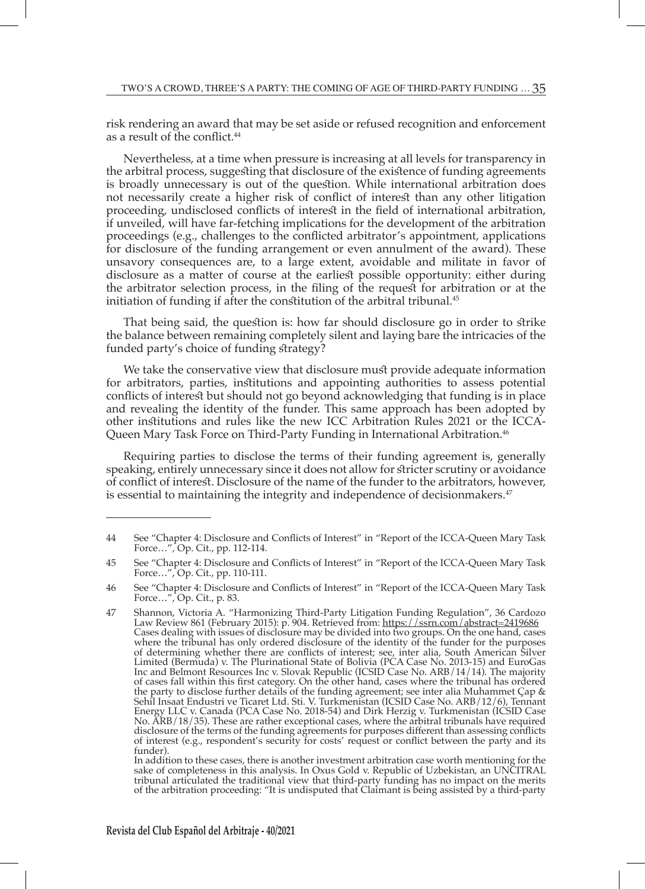risk rendering an award that may be set aside or refused recognition and enforcement as a result of the conflict.<sup>44</sup>

Nevertheless, at a time when pressure is increasing at all levels for transparency in the arbitral process, suggesting that disclosure of the existence of funding agreements is broadly unnecessary is out of the question. While international arbitration does not necessarily create a higher risk of conflict of interest than any other litigation proceeding, undisclosed conflicts of interest in the field of international arbitration, if unveiled, will have far-fetching implications for the development of the arbitration proceedings (e.g., challenges to the conflicted arbitrator's appointment, applications for disclosure of the funding arrangement or even annulment of the award). These unsavory consequences are, to a large extent, avoidable and militate in favor of disclosure as a matter of course at the earliest possible opportunity: either during the arbitrator selection process, in the filing of the request for arbitration or at the initiation of funding if after the constitution of the arbitral tribunal.<sup>45</sup>

That being said, the question is: how far should disclosure go in order to strike the balance between remaining completely silent and laying bare the intricacies of the funded party's choice of funding strategy?

We take the conservative view that disclosure must provide adequate information for arbitrators, parties, institutions and appointing authorities to assess potential conflicts of interest but should not go beyond acknowledging that funding is in place and revealing the identity of the funder. This same approach has been adopted by other institutions and rules like the new ICC Arbitration Rules 2021 or the ICCA-Queen Mary Task Force on Third-Party Funding in International Arbitration.46

Requiring parties to disclose the terms of their funding agreement is, generally speaking, entirely unnecessary since it does not allow for stricter scrutiny or avoidance of conflict of interest. Disclosure of the name of the funder to the arbitrators, however, is essential to maintaining the integrity and independence of decisionmakers.<sup>47</sup>

In addition to these cases, there is another investment arbitration case worth mentioning for the sake of completeness in this analysis. In Oxus Gold v. Republic of Uzbekistan, an UNCITRAL tribunal articulated the traditional view that third-party funding has no impact on the merits of the arbitration proceeding: "It is undisputed that Claimant is being assisted by a third-party

<sup>44</sup> See "Chapter 4: Disclosure and Conflicts of Interest" in "Report of the ICCA-Queen Mary Task Force…", Op. Cit., pp. 112-114.

<sup>45</sup> See "Chapter 4: Disclosure and Conflicts of Interest" in "Report of the ICCA-Queen Mary Task Force…", Op. Cit., pp. 110-111.

<sup>46</sup> See "Chapter 4: Disclosure and Conflicts of Interest" in "Report of the ICCA-Queen Mary Task Force…", Op. Cit., p. 83.

<sup>47</sup> Shannon, Victoria A. "Harmonizing Third-Party Litigation Funding Regulation", 36 Cardozo Law Review 861 (February 2015): p. 904. Retrieved from: <u>https://ssrn.com/abstract=2419686</u> Cases dealing with issues of disclosure may be divided into two groups. On the one hand, cases where the tribunal has only ordered disclosure of the identity of the funder for the purposes of determining whether there are conflicts of interest; see, inter alia, South American Silver Limited (Bermuda) v. The Plurinational State of Bolivia (PCA Case No. 2013-15) and EuroGas Inc and Belmont Resources Inc v. Slovak Republic (ICSID Case No. ARB/14/14). The majority of cases fall within this first category. On the other hand, cases where the tribunal has ordered the party to disclose further details of the funding agreement; see inter alia Muhammet Çap & Sehil Insaat Endustri ve Ticaret Ltd. Sti. V. Turkmenistan (ICSID Case No. ARB/12/6), Tennant Energy LLC v. Canada (PCA Case No. 2018-54) and Dirk Herzig v. Turkmenistan (ICSID Case No. ARB/18/35). These are rather exceptional cases, where the arbitral tribunals have required disclosure of the terms of the funding agreements for purposes different than assessing conflicts of interest (e.g., respondent's security for costs' request or conflict between the party and its funder).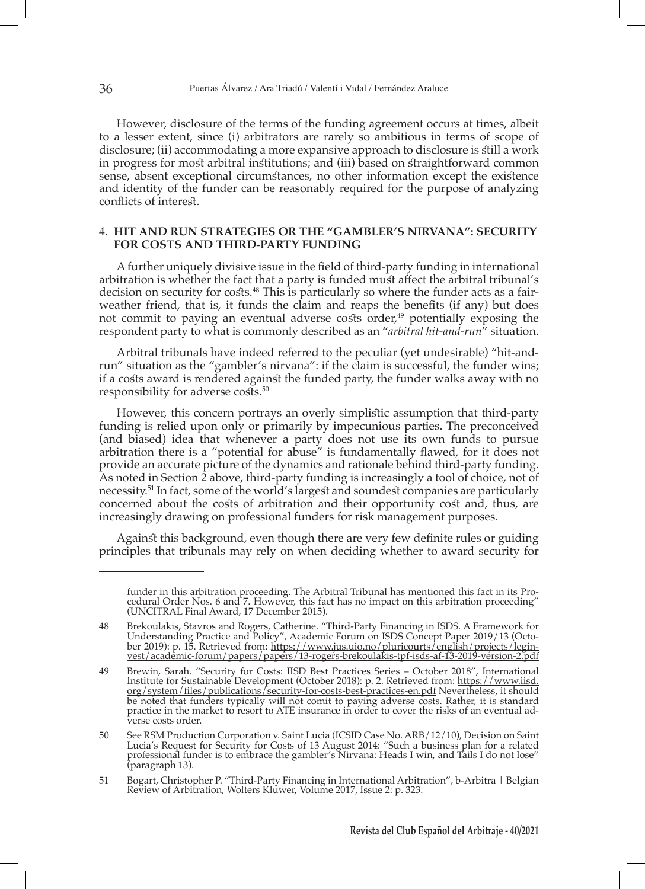However, disclosure of the terms of the funding agreement occurs at times, albeit to a lesser extent, since (i) arbitrators are rarely so ambitious in terms of scope of disclosure; (ii) accommodating a more expansive approach to disclosure is still a work in progress for most arbitral institutions; and (iii) based on straightforward common sense, absent exceptional circumstances, no other information except the existence and identity of the funder can be reasonably required for the purpose of analyzing conflicts of interest.

#### 4. **HIT AND RUN STRATEGIES OR THE "GAMBLER'S NIRVANA": SECURITY FOR COSTS AND THIRD-PARTY FUNDING**

A further uniquely divisive issue in the field of third-party funding in international arbitration is whether the fact that a party is funded must affect the arbitral tribunal's decision on security for costs.<sup>48</sup> This is particularly so where the funder acts as a fairweather friend, that is, it funds the claim and reaps the benefits (if any) but does not commit to paying an eventual adverse costs order,<sup>49</sup> potentially exposing the respondent party to what is commonly described as an "*arbitral hit-and-run*" situation.

Arbitral tribunals have indeed referred to the peculiar (yet undesirable) "hit-andrun" situation as the "gambler's nirvana": if the claim is successful, the funder wins; if a costs award is rendered against the funded party, the funder walks away with no responsibility for adverse costs.<sup>50</sup>

However, this concern portrays an overly simplistic assumption that third-party funding is relied upon only or primarily by impecunious parties. The preconceived (and biased) idea that whenever a party does not use its own funds to pursue arbitration there is a "potential for abuse" is fundamentally flawed, for it does not provide an accurate picture of the dynamics and rationale behind third-party funding. As noted in Section 2 above, third-party funding is increasingly a tool of choice, not of necessity.51 In fact, some of the world's largest and soundest companies are particularly concerned about the costs of arbitration and their opportunity cost and, thus, are increasingly drawing on professional funders for risk management purposes.

Against this background, even though there are very few definite rules or guiding principles that tribunals may rely on when deciding whether to award security for

funder in this arbitration proceeding. The Arbitral Tribunal has mentioned this fact in its Procedural Order Nos. 6 and 7. However, this fact has no impact on this arbitration proceeding" (UNCITRAL Final Award, 17 December 2015).

<sup>48</sup> Brekoulakis, Stavros and Rogers, Catherine. "Third-Party Financing in ISDS. A Framework for Understanding Practice and Policy", Academic Forum on ISDS Concept Paper 2019/13 (October 2019): p. 15. Retrieved from: https://www.jus.uio.no/pluricourts/english/projects/leginvest/academic-forum/papers/papers/13-rogers-brekoulakis-tpf-isds-af-13-2019-version-2.pdf

<sup>49</sup> Brewin, Sarah. "Security for Costs: IISD Best Practices Series – October 2018", International Institute for Sustainable Development (October 2018): p. 2. Retrieved from: https://www.iisd. org/system/files/publications/security-for-costs-best-practices-en.pdf Nevertheless, it should be noted that funders typically will not comit to paying adverse costs. Rather, it is standard practice in the market to resort to ATE insurance in order to cover the risks of an eventual adverse costs order.

<sup>50</sup> See RSM Production Corporation v. Saint Lucia (ICSID Case No. ARB/12/10), Decision on Saint Lucia's Request for Security for Costs of 13 August 2014: "Such a business plan for a related professional funder is to embrace the gambler's Nirvana: Heads I win, and Tails I do not lose" (paragraph 13).

<sup>51</sup> Bogart, Christopher P. "Third-Party Financing in International Arbitration", b-Arbitra | Belgian Review of Arbitration, Wolters Kluwer, Volume 2017, Issue 2: p. 323.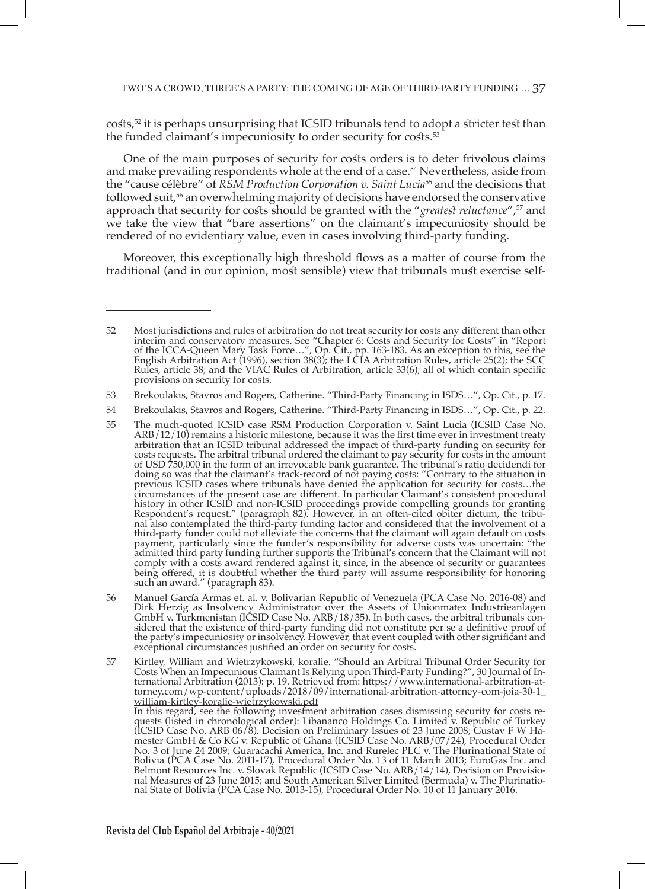$\cos\theta$  is perhaps unsurprising that ICSID tribunals tend to adopt a stricter test than the funded claimant's impecuniosity to order security for costs.<sup>53</sup>

One of the main purposes of security for costs orders is to deter frivolous claims and make prevailing respondents whole at the end of a case.<sup>54</sup> Nevertheless, aside from the "cause célèbre" of *RSM Production Corporation v. Saint Lucia*55 and the decisions that followed suit,56 an overwhelming majority of decisions have endorsed the conservative approach that security for costs should be granted with the "*greatest reluctance*",57 and we take the view that "bare assertions" on the claimant's impecuniosity should be rendered of no evidentiary value, even in cases involving third-party funding.

Moreover, this exceptionally high threshold flows as a matter of course from the traditional (and in our opinion, most sensible) view that tribunals must exercise self-

56 Manuel García Armas et. al. v. Bolivarian Republic of Venezuela (PCA Case No. 2016-08) and Dirk Herzig as Insolvency Administrator over the Assets of Unionmatex Industrieanlagen GmbH v. Turkmenistan (ICSID Case No. ARB/18/35). In both cases, the arbitral tribunals considered that the existence of third-party funding did not constitute per se a definitive proof of the party's impecuniosity or insolvency. However, that event coupled with other significant and exceptional circumstances justified an order on security for costs.

(ICSID Case No. ARB 06/8), Decision on Preliminary Issues of 23 June 2008; Gustav F W Hamester GmbH & Co KG v. Republic of Ghana (ICSID Case No. ARB/07/24), Procedural Order No. 3 of June 24 2009; Guaracachi America, Inc. and Rurelec PLC v. The Plurinational State of Bolivia (PCA Case No. 2011-17), Procedural Order No. 13 of 11 March 2013; EuroGas Inc. and Belmont Resources Inc. v. Slovak Republic (ICSID Case No. ARB/14/14), Decision on Provisional Measures of 23 June 2015; and South American Silver Limited (Bermuda) v. The Plurinational State of Bolivia (PCA Case No. 2013-15), Procedural Order No. 10 of 11 January 2016.

<sup>52</sup> Most jurisdictions and rules of arbitration do not treat security for costs any different than other interim and conservatory measures. See "Chapter 6: Costs and Security for Costs" in "Report of the ICCA-Queen Mary Task Force…", Op. Cit., pp. 163-183. As an exception to this, see the English Arbitration Act (1996), section 38(3); the LCIA Arbitration Rules, article 25(2); the SCC Rules, article 38; and the VIAC Rules of Arbitration, article 33(6); all of which contain specific provisions on security for costs.

<sup>53</sup> Brekoulakis, Stavros and Rogers, Catherine. "Third-Party Financing in ISDS…", Op. Cit., p. 17.

<sup>54</sup> Brekoulakis, Stavros and Rogers, Catherine. "Third-Party Financing in ISDS…", Op. Cit., p. 22.

<sup>55</sup> The much-quoted ICSID case RSM Production Corporation v. Saint Lucia (ICSID Case No.  $ARB/12/10$ ) remains a historic milestone, because it was the first time ever in investment treaty arbitration that an ICSID tribunal addressed the impact of third-party funding on security for costs requests. The arbitral tribunal ordered the claimant to pay security for costs in the amount of USD 750,000 in the form of an irrevocable bank guarantee. The tribunal's ratio decidendi for doing so was that the claimant's track-record of not paying costs: "Contrary to the situation in previous ICSID cases where tribunals have denied the application for security for costs…the circumstances of the present case are different. In particular Claimant's consistent procedural history in other ICSID and non-ICSID proceedings provide compelling grounds for granting Respondent's request." (paragraph 82). However, in an often-cited obiter dictum, the tribunal also contemplated the third-party funding factor and considered that the involvement of a third-party funder could not alleviate the concerns that the claimant will again default on costs payment, particularly since the funder's responsibility for adverse costs was uncertain: "the admitted third party funding further supports the Tribunal's concern that the Claimant will not comply with a costs award rendered against it, since, in the absence of security or guarantees being offered, it is doubtful whether the third party will assume responsibility for honoring such an award." (paragraph 83).

<sup>57</sup> Kirtley, William and Wietrzykowski, koralie. "Should an Arbitral Tribunal Order Security for Costs When an Impecunious Claimant Is Relying upon Third-Party Funding?", 30 Journal of International Arbitration (2013): p. 19. Retrieved from: <u>https://www.international-arbitration-at-</u> torney.com/wp-content/uploads/2018/09/international-arbitration-attorney-com-joia-30-1\_ william-kirtley-koralie-wietrzykowski.pdf In this regard, see the following investment arbitration cases dismissing security for costs requests (listed in chronological order): Libananco Holdings Co. Limited v. Republic of Turkey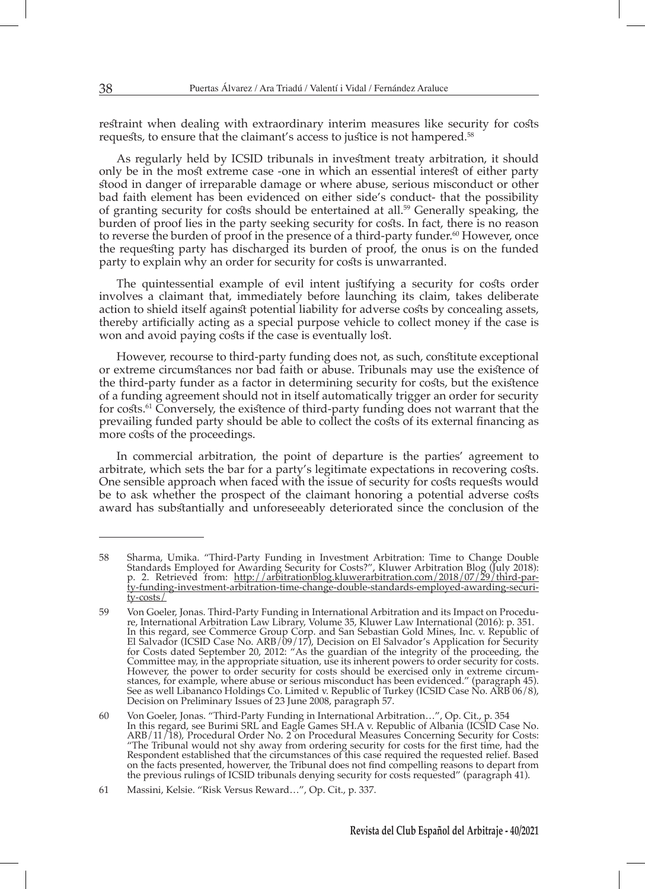restraint when dealing with extraordinary interim measures like security for costs requests, to ensure that the claimant's access to justice is not hampered.58

As regularly held by ICSID tribunals in investment treaty arbitration, it should only be in the most extreme case -one in which an essential interest of either party stood in danger of irreparable damage or where abuse, serious misconduct or other bad faith element has been evidenced on either side's conduct- that the possibility of granting security for costs should be entertained at all.59 Generally speaking, the burden of proof lies in the party seeking security for costs. In fact, there is no reason to reverse the burden of proof in the presence of a third-party funder.<sup>60</sup> However, once the requesting party has discharged its burden of proof, the onus is on the funded party to explain why an order for security for costs is unwarranted.

The quintessential example of evil intent justifying a security for costs order involves a claimant that, immediately before launching its claim, takes deliberate action to shield itself against potential liability for adverse costs by concealing assets, thereby artificially acting as a special purpose vehicle to collect money if the case is won and avoid paying costs if the case is eventually lost.

However, recourse to third-party funding does not, as such, constitute exceptional or extreme circumstances nor bad faith or abuse. Tribunals may use the existence of the third-party funder as a factor in determining security for costs, but the existence of a funding agreement should not in itself automatically trigger an order for security for costs.<sup>61</sup> Conversely, the existence of third-party funding does not warrant that the prevailing funded party should be able to collect the costs of its external financing as more costs of the proceedings.

In commercial arbitration, the point of departure is the parties' agreement to arbitrate, which sets the bar for a party's legitimate expectations in recovering costs. One sensible approach when faced with the issue of security for costs requests would be to ask whether the prospect of the claimant honoring a potential adverse costs award has substantially and unforeseeably deteriorated since the conclusion of the

<sup>58</sup> Sharma, Umika. "Third-Party Funding in Investment Arbitration: Time to Change Double Standards Employed for Awarding Security for Costs?", Kluwer Arbitration Blog (July 2018): p. 2. Retrieved from: <u>http://arbitrationblog.kluwerarbitration.com/2018/07/29/third-par-</u> ty-funding-investment-arbitration-time-change-double-standards-employed-awarding-security-costs/

<sup>59</sup> Von Goeler, Jonas. Third-Party Funding in International Arbitration and its Impact on Procedure, International Arbitration Law Library, Volume 35, Kluwer Law International (2016): p. 351. In this regard, see Commerce Group Corp. and San Sebastian Gold Mines, Inc. v. Republic of El Salvador (ICSID Case No. ARB/09/17), Decision on El Salvador's Application for Security for Costs dated September 20, 2012: "As the guardian of the integrity of the proceeding, the Committee may, in the appropriate situation, use its inherent powers to order security for costs. However, the power to order security for costs should be exercised only in extreme circumstances, for example, where abuse or serious misconduct has been evidenced." (paragraph 45). See as well Libananco Holdings Co. Limited v. Republic of Turkey (ICSID Case No. ARB 06/8), Decision on Preliminary Issues of 23 June 2008, paragraph 57.

<sup>60</sup> Von Goeler, Jonas. "Third-Party Funding in International Arbitration…", Op. Cit., p. 354 In this regard, see Burimi SRL and Eagle Games SH.A v. Republic of Albania (ICSID Case No. ARB/11/18), Procedural Order No. 2 on Procedural Measures Concerning Security for Costs: "The Tribunal would not shy away from ordering security for costs for the first time, had the Respondent established that the circumstances of this case required the requested relief. Based on the facts presented, howerver, the Tribunal does not find compelling reasons to depart from the previous rulings of ICSID tribunals denying security for costs requested" (paragraph 41).

<sup>61</sup> Massini, Kelsie. "Risk Versus Reward…", Op. Cit., p. 337.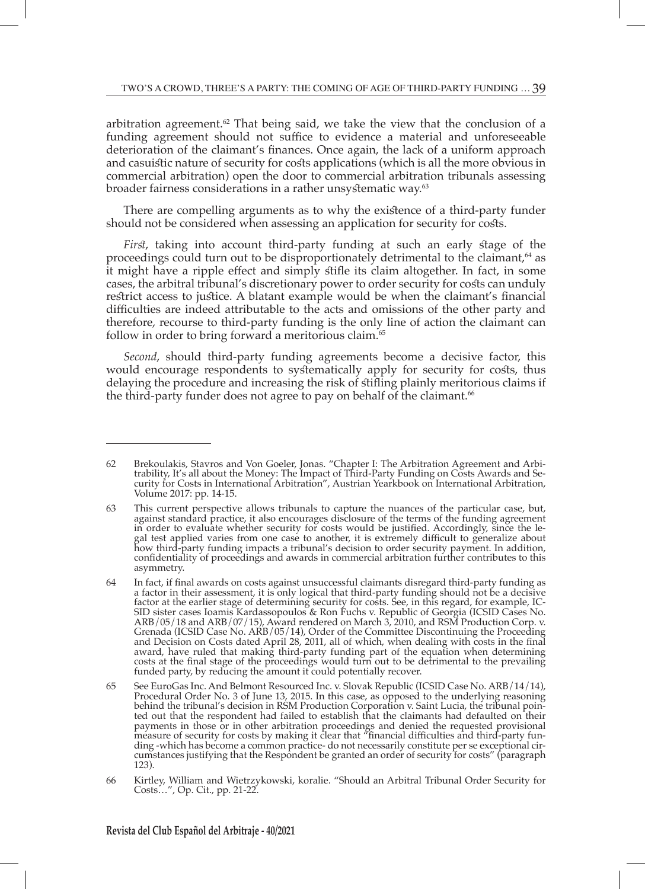arbitration agreement. $62$  That being said, we take the view that the conclusion of a funding agreement should not suffice to evidence a material and unforeseeable deterioration of the claimant's finances. Once again, the lack of a uniform approach and casuistic nature of security for costs applications (which is all the more obvious in commercial arbitration) open the door to commercial arbitration tribunals assessing broader fairness considerations in a rather unsystematic way.<sup>63</sup>

There are compelling arguments as to why the existence of a third-party funder should not be considered when assessing an application for security for costs.

*First*, taking into account third-party funding at such an early stage of the proceedings could turn out to be disproportionately detrimental to the claimant,64 as it might have a ripple effect and simply stifle its claim altogether. In fact, in some cases, the arbitral tribunal's discretionary power to order security for costs can unduly restrict access to justice. A blatant example would be when the claimant's financial difficulties are indeed attributable to the acts and omissions of the other party and therefore, recourse to third-party funding is the only line of action the claimant can follow in order to bring forward a meritorious claim.<sup>65</sup>

*Second*, should third-party funding agreements become a decisive factor, this would encourage respondents to systematically apply for security for costs, thus delaying the procedure and increasing the risk of stifling plainly meritorious claims if the third-party funder does not agree to pay on behalf of the claimant. $66$ 

<sup>62</sup> Brekoulakis, Stavros and Von Goeler, Jonas. "Chapter I: The Arbitration Agreement and Arbitrability, It's all about the Money: The Impact of Third-Party Funding on Costs Awards and Security for Costs in International Arbitration", Austrian Yearkbook on International Arbitration, Volume 2017: pp. 14-15.

<sup>63</sup> This current perspective allows tribunals to capture the nuances of the particular case, but, against standard practice, it also encourages disclosure of the terms of the funding agreement in order to evaluate whether security for costs would be justified. Accordingly, since the legal test applied varies from one case to another, it is extremely difficult to generalize about how third-party funding impacts a tribunal's decision to order security payment. In addition, confidentiality of proceedings and awards in commercial arbitration further contributes to this asymmetry.

<sup>64</sup> In fact, if final awards on costs against unsuccessful claimants disregard third-party funding as a factor in their assessment, it is only logical that third-party funding should not be a decisive factor at the earlier stage of determining security for costs. See, in this regard, for example, IC-SID sister cases Ioamis Kardassopoulos & Ron Fuchs v. Republic of Georgia (ICSID Cases No. ARB/05/18 and ARB/07/15), Award rendered on March 3, 2010, and RSM Production Corp. v. Grenada (ICSID Case No. ARB/05/14), Order of the Committee Discontinuing the Proceeding and Decision on Costs dated April 28, 2011, all of which, when dealing with costs in the final award, have ruled that making third-party funding part of the equation when determining costs at the final stage of the proceedings would turn out to be detrimental to the prevailing funded party, by reducing the amount it could potentially recover.

<sup>65</sup> See EuroGas Inc. And Belmont Resourced Inc. v. Slovak Republic (ICSID Case No. ARB/14/14), Procedural Order No. 3 of June 13, 2015. In this case, as opposed to the underlying reasoning behind the tribunal's decision in RSM Production Corporation v. Saint Lucia, the tribunal pointed out that the respondent had failed to establish that the claimants had defaulted on their payments in those or in other arbitration proceedings and denied the requested provisional measure of security for costs by making it clear that "financial difficulties and third-party funding -which has become a common practice- do not necessarily constitute per se exceptional circumstances justifying that the Respondent be granted an order of security for costs" (paragraph 123).

<sup>66</sup> Kirtley, William and Wietrzykowski, koralie. "Should an Arbitral Tribunal Order Security for Costs…", Op. Cit., pp. 21-22.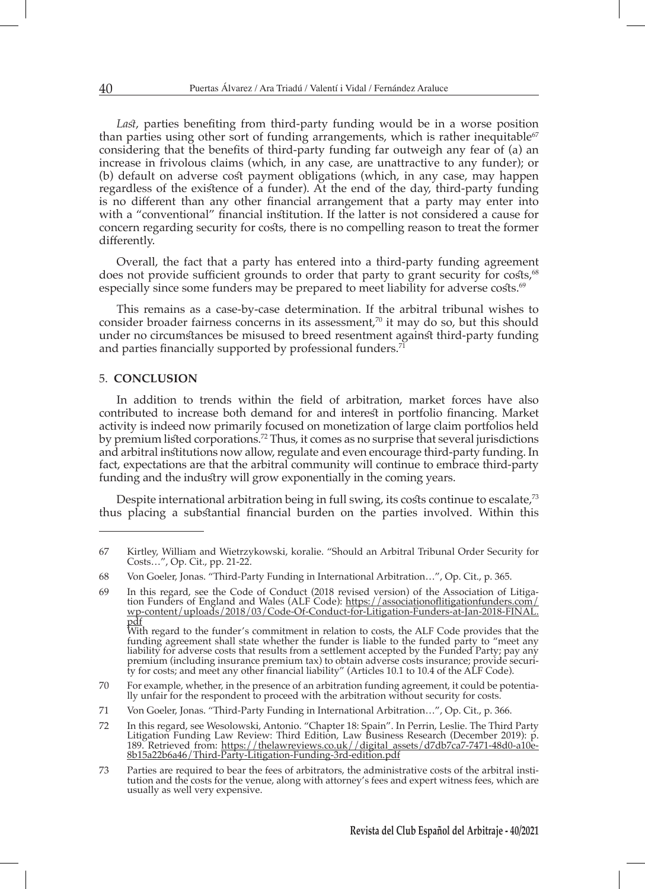*Last*, parties benefiting from third-party funding would be in a worse position than parties using other sort of funding arrangements, which is rather inequitable<sup>67</sup> considering that the benefits of third-party funding far outweigh any fear of (a) an increase in frivolous claims (which, in any case, are unattractive to any funder); or (b) default on adverse cost payment obligations (which, in any case, may happen regardless of the existence of a funder). At the end of the day, third-party funding is no different than any other financial arrangement that a party may enter into with a "conventional" financial institution. If the latter is not considered a cause for concern regarding security for costs, there is no compelling reason to treat the former differently.

Overall, the fact that a party has entered into a third-party funding agreement does not provide sufficient grounds to order that party to grant security for costs,<sup>68</sup> especially since some funders may be prepared to meet liability for adverse costs.<sup>69</sup>

This remains as a case-by-case determination. If the arbitral tribunal wishes to consider broader fairness concerns in its assessment,<sup>70</sup> it may do so, but this should under no circumstances be misused to breed resentment against third-party funding and parties financially supported by professional funders. $7^{\overline{1}}$ 

#### 5. **CONCLUSION**

In addition to trends within the field of arbitration, market forces have also contributed to increase both demand for and interest in portfolio financing. Market activity is indeed now primarily focused on monetization of large claim portfolios held by premium listed corporations.<sup>72</sup> Thus, it comes as no surprise that several jurisdictions and arbitral institutions now allow, regulate and even encourage third-party funding. In fact, expectations are that the arbitral community will continue to embrace third-party funding and the industry will grow exponentially in the coming years.

Despite international arbitration being in full swing, its costs continue to escalate,<sup>73</sup> thus placing a substantial financial burden on the parties involved. Within this

<sup>67</sup> Kirtley, William and Wietrzykowski, koralie. "Should an Arbitral Tribunal Order Security for Costs…", Op. Cit., pp. 21-22.

<sup>68</sup> Von Goeler, Jonas. "Third-Party Funding in International Arbitration…", Op. Cit., p. 365.

<sup>69</sup> In this regard, see the Code of Conduct (2018 revised version) of the Association of Litigation Funders of England and Wales (ALF Code): <u>https://associationoflitigationfunders.com/</u> wp-content/uploads/2018/03/Code-Of-Conduct-for-Litigation-Funders-at-Jan-2018-FINAL. pdf With regard to the funder's commitment in relation to costs, the ALF Code provides that the

funding agreement shall state whether the funder is liable to the funded party to "meet any liability for adverse costs that results from a settlement accepted by the Funded Party; pay any premium (including insurance premium tax) to obtain adverse costs insurance; provide security for costs; and meet any other financial liability" (Articles 10.1 to 10.4 of the ALF Code).

<sup>70</sup> For example, whether, in the presence of an arbitration funding agreement, it could be potentially unfair for the respondent to proceed with the arbitration without security for costs.

<sup>71</sup> Von Goeler, Jonas. "Third-Party Funding in International Arbitration…", Op. Cit., p. 366.

<sup>72</sup> In this regard, see Wesolowski, Antonio. "Chapter 18: Spain". In Perrin, Leslie. The Third Party Litigation Funding Law Review: Third Edition, Law Business Research (December 2019): p. 189. Retrieved from: https://thelawreviews.co.uk//digital\_assets/d7db7ca7-7471-48d0-a10e-8b15a22b6a46/Third-Party-Litigation-Funding-3rd-edition.pdf

<sup>73</sup> Parties are required to bear the fees of arbitrators, the administrative costs of the arbitral institution and the costs for the venue, along with attorney's fees and expert witness fees, which are usually as well very expensive.